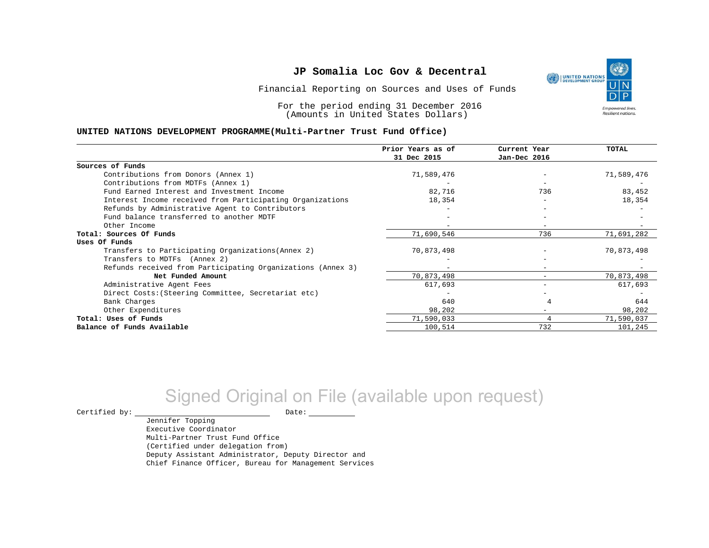Financial Reporting on Sources and Uses of Funds

For the period ending 31 December 2016 (Amounts in United States Dollars)

#### **UNITED NATIONS DEVELOPMENT PROGRAMME(Multi-Partner Trust Fund Office)**

|                                                             | Prior Years as of | Current Year                 | TOTAL      |
|-------------------------------------------------------------|-------------------|------------------------------|------------|
|                                                             | 31 Dec 2015       | Jan-Dec 2016                 |            |
| Sources of Funds                                            |                   |                              |            |
| Contributions from Donors (Annex 1)                         | 71,589,476        |                              | 71,589,476 |
| Contributions from MDTFs (Annex 1)                          |                   |                              |            |
| Fund Earned Interest and Investment Income                  | 82,716            | 736                          | 83,452     |
| Interest Income received from Participating Organizations   | 18,354            | $\overline{\phantom{m}}$     | 18,354     |
| Refunds by Administrative Agent to Contributors             |                   |                              |            |
| Fund balance transferred to another MDTF                    |                   |                              |            |
| Other Income                                                |                   |                              |            |
| Total: Sources Of Funds                                     | 71,690,546        | 736                          | 71,691,282 |
| Uses Of Funds                                               |                   |                              |            |
| Transfers to Participating Organizations (Annex 2)          | 70,873,498        |                              | 70,873,498 |
| Transfers to MDTFs (Annex 2)                                |                   |                              |            |
| Refunds received from Participating Organizations (Annex 3) |                   | $\qquad \qquad \blacksquare$ |            |
| Net Funded Amount                                           | 70,873,498        |                              | 70,873,498 |
| Administrative Agent Fees                                   | 617,693           |                              | 617,693    |
| Direct Costs: (Steering Committee, Secretariat etc)         |                   |                              |            |
| Bank Charges                                                | 640               |                              | 644        |
| Other Expenditures                                          | 98,202            |                              | 98,202     |
| Total: Uses of Funds                                        | 71,590,033        |                              | 71,590,037 |
| Balance of Funds Available                                  | 100,514           | 732                          | 101,245    |

## Signed Original on File (available upon request)

 $\begin{tabular}{ccccc} \multicolumn{2}{c|}{\textbf{Certified by:}} & \multicolumn{2}{c|}{\textbf{Date:}} \end{tabular}$ 

Jennifer Topping Executive Coordinator Multi-Partner Trust Fund Office (Certified under delegation from) Deputy Assistant Administrator, Deputy Director and Chief Finance Officer, Bureau for Management Services

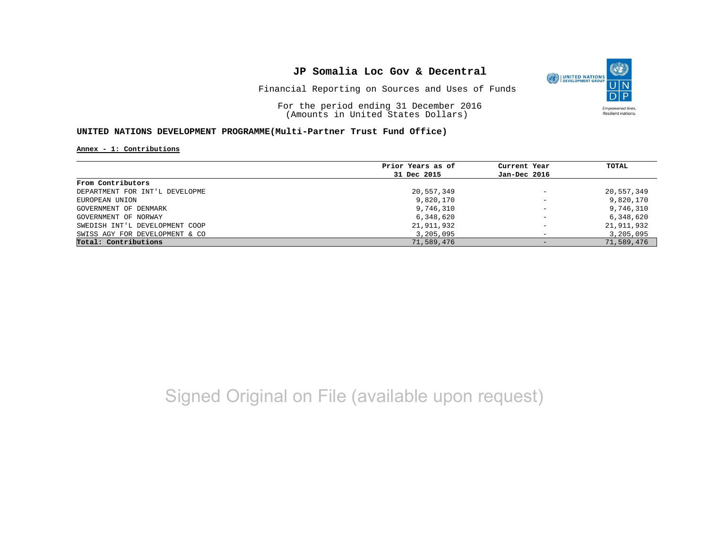

Financial Reporting on Sources and Uses of Funds

For the period ending 31 December 2016 (Amounts in United States Dollars)

#### **UNITED NATIONS DEVELOPMENT PROGRAMME(Multi-Partner Trust Fund Office)**

**Annex - 1: Contributions**

|                                | Prior Years as of | Current Year                 | TOTAL      |
|--------------------------------|-------------------|------------------------------|------------|
|                                | 31 Dec 2015       | Jan-Dec 2016                 |            |
| From Contributors              |                   |                              |            |
| DEPARTMENT FOR INT'L DEVELOPME | 20,557,349        | $\overline{\phantom{m}}$     | 20,557,349 |
| EUROPEAN UNION                 | 9,820,170         | $\overline{\phantom{0}}$     | 9,820,170  |
| GOVERNMENT OF DENMARK          | 9,746,310         | $\overline{\phantom{a}}$     | 9,746,310  |
| GOVERNMENT OF NORWAY           | 6,348,620         | $\qquad \qquad \blacksquare$ | 6,348,620  |
| SWEDISH INT'L DEVELOPMENT COOP | 21,911,932        | $\qquad \qquad -$            | 21,911,932 |
| SWISS AGY FOR DEVELOPMENT & CO | 3,205,095         |                              | 3,205,095  |
| Total: Contributions           | 71,589,476        |                              | 71,589,476 |

## Signed Original on File (available upon request)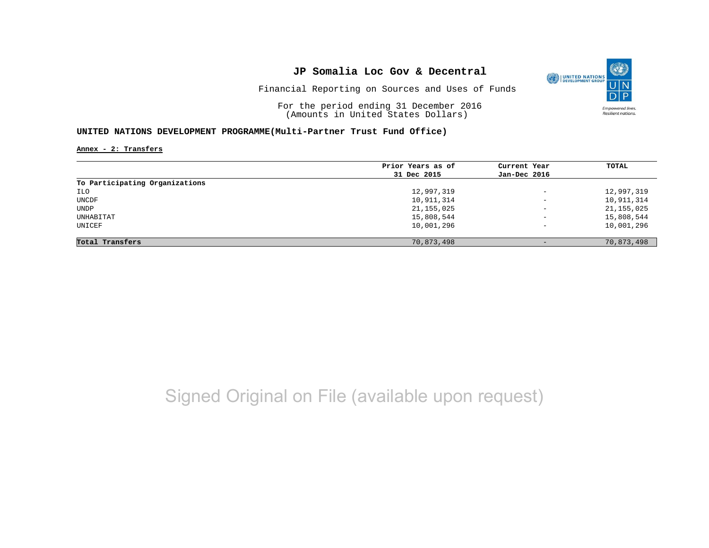

Financial Reporting on Sources and Uses of Funds

For the period ending 31 December 2016 (Amounts in United States Dollars)

#### **UNITED NATIONS DEVELOPMENT PROGRAMME(Multi-Partner Trust Fund Office)**

**Annex - 2: Transfers**

|                                | Prior Years as of | Current Year             | TOTAL        |
|--------------------------------|-------------------|--------------------------|--------------|
|                                | 31 Dec 2015       | Jan-Dec 2016             |              |
| To Participating Organizations |                   |                          |              |
| ILO                            | 12,997,319        | $\equiv$                 | 12,997,319   |
| UNCDF                          | 10,911,314        | $\overline{\phantom{0}}$ | 10,911,314   |
| UNDP                           | 21, 155, 025      | $\overline{\phantom{m}}$ | 21, 155, 025 |
| UNHABITAT                      | 15,808,544        | $\qquad \qquad -$        | 15,808,544   |
| UNICEF                         | 10,001,296        | $\qquad \qquad -$        | 10,001,296   |
| Total Transfers                | 70,873,498        |                          | 70,873,498   |

## Signed Original on File (available upon request)